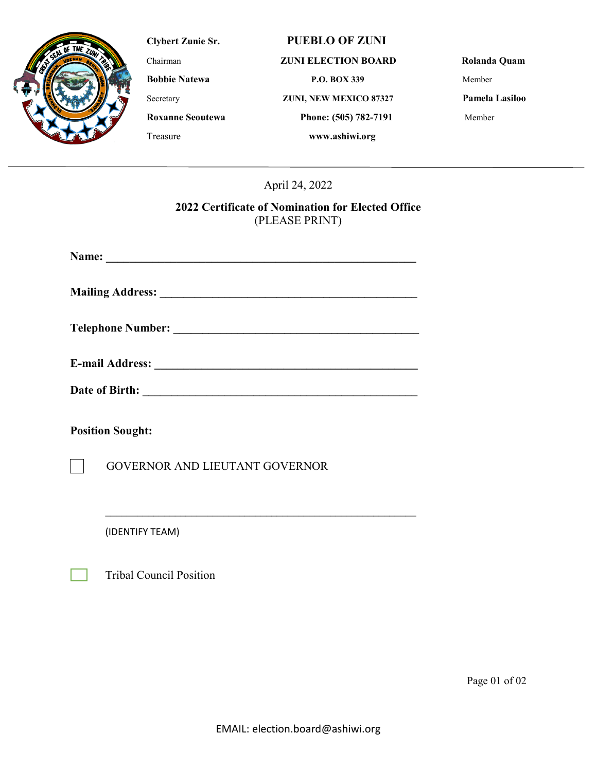

## **Clybert Zunie Sr. PUEBLO OF ZUNI**

### Chairman **ZUNI ELECTION BOARD Rolanda Quam**

**Bobbie Natewa P.O. BOX 339** Member

Secretary **ZUNI, NEW MEXICO 87327 Pamela Lasiloo**

**Roxanne Seoutewa Phone: (505) 782-7191** Member

April 24, 2022

Treasure **www.ashiwi.org**

# **2022 Certificate of Nomination for Elected Office** (PLEASE PRINT)

| Date of Birth:                        |
|---------------------------------------|
| <b>Position Sought:</b>               |
| <b>GOVERNOR AND LIEUTANT GOVERNOR</b> |

 $\mathcal{L}_\text{max}$  , and the contract of the contract of the contract of the contract of the contract of the contract of the contract of the contract of the contract of the contract of the contract of the contract of the contr

(IDENTIFY TEAM)

Tribal Council Position

Page 01 of 02